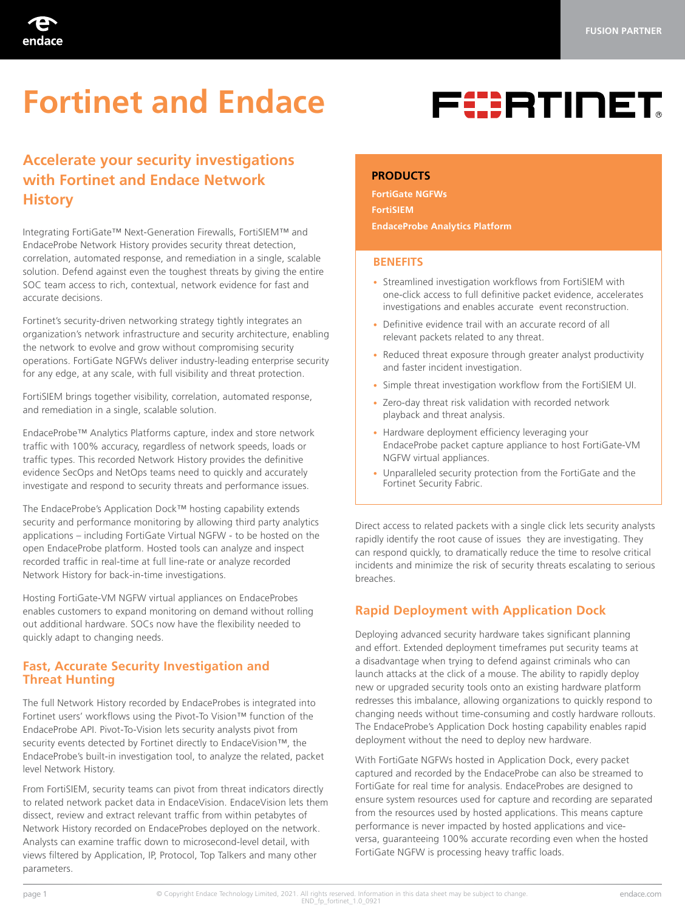

# **Fortinet and Endace**



# **Accelerate your security investigations with Fortinet and Endace Network History**

Integrating FortiGate™ Next-Generation Firewalls, FortiSIEM™ and EndaceProbe Network History provides security threat detection, correlation, automated response, and remediation in a single, scalable solution. Defend against even the toughest threats by giving the entire SOC team access to rich, contextual, network evidence for fast and accurate decisions.

Fortinet's security-driven networking strategy tightly integrates an organization's network infrastructure and security architecture, enabling the network to evolve and grow without compromising security operations. FortiGate NGFWs deliver industry-leading enterprise security for any edge, at any scale, with full visibility and threat protection.

FortiSIEM brings together visibility, correlation, automated response, and remediation in a single, scalable solution.

EndaceProbe™ Analytics Platforms capture, index and store network traffic with 100% accuracy, regardless of network speeds, loads or traffic types. This recorded Network History provides the definitive evidence SecOps and NetOps teams need to quickly and accurately investigate and respond to security threats and performance issues.

The EndaceProbe's Application Dock™ hosting capability extends security and performance monitoring by allowing third party analytics applications – including FortiGate Virtual NGFW - to be hosted on the open EndaceProbe platform. Hosted tools can analyze and inspect recorded traffic in real-time at full line-rate or analyze recorded Network History for back-in-time investigations.

Hosting FortiGate-VM NGFW virtual appliances on EndaceProbes enables customers to expand monitoring on demand without rolling out additional hardware. SOCs now have the flexibility needed to quickly adapt to changing needs.

# **Fast, Accurate Security Investigation and Threat Hunting**

The full Network History recorded by EndaceProbes is integrated into Fortinet users' workflows using the Pivot-To Vision™ function of the EndaceProbe API. Pivot-To-Vision lets security analysts pivot from security events detected by Fortinet directly to EndaceVision™, the EndaceProbe's built-in investigation tool, to analyze the related, packet level Network History.

From FortiSIEM, security teams can pivot from threat indicators directly to related network packet data in EndaceVision. EndaceVision lets them dissect, review and extract relevant traffic from within petabytes of Network History recorded on EndaceProbes deployed on the network. Analysts can examine traffic down to microsecond-level detail, with views filtered by Application, IP, Protocol, Top Talkers and many other parameters.

#### **PRODUCTS**

**FortiGate NGFWs FortiSIEM EndaceProbe Analytics Platform** 

#### **BENEFITS**

- Streamlined investigation workflows from FortiSIEM with one-click access to full definitive packet evidence, accelerates investigations and enables accurate event reconstruction.
- Definitive evidence trail with an accurate record of all relevant packets related to any threat.
- Reduced threat exposure through greater analyst productivity and faster incident investigation.
- Simple threat investigation workflow from the FortiSIEM UI.
- Zero-day threat risk validation with recorded network playback and threat analysis.
- Hardware deployment efficiency leveraging your EndaceProbe packet capture appliance to host FortiGate-VM NGFW virtual appliances.
- Unparalleled security protection from the FortiGate and the Fortinet Security Fabric.

Direct access to related packets with a single click lets security analysts rapidly identify the root cause of issues they are investigating. They can respond quickly, to dramatically reduce the time to resolve critical incidents and minimize the risk of security threats escalating to serious breaches.

# **Rapid Deployment with Application Dock**

Deploying advanced security hardware takes significant planning and effort. Extended deployment timeframes put security teams at a disadvantage when trying to defend against criminals who can launch attacks at the click of a mouse. The ability to rapidly deploy new or upgraded security tools onto an existing hardware platform redresses this imbalance, allowing organizations to quickly respond to changing needs without time-consuming and costly hardware rollouts. The EndaceProbe's Application Dock hosting capability enables rapid deployment without the need to deploy new hardware.

With FortiGate NGFWs hosted in Application Dock, every packet captured and recorded by the EndaceProbe can also be streamed to FortiGate for real time for analysis. EndaceProbes are designed to ensure system resources used for capture and recording are separated from the resources used by hosted applications. This means capture performance is never impacted by hosted applications and viceversa, guaranteeing 100% accurate recording even when the hosted FortiGate NGFW is processing heavy traffic loads.